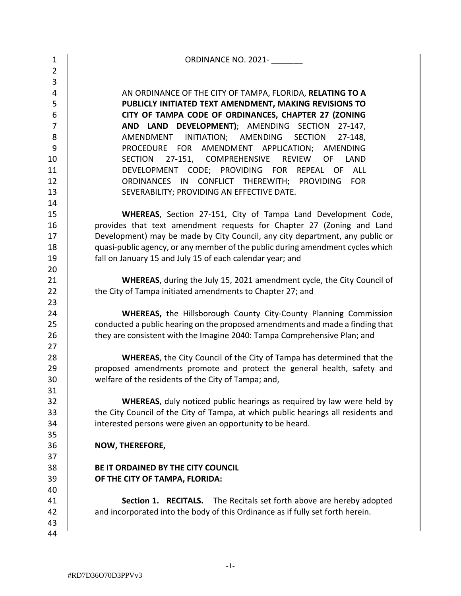| 1              | ORDINANCE NO. 2021-                                                               |
|----------------|-----------------------------------------------------------------------------------|
| $\overline{2}$ |                                                                                   |
| 3              |                                                                                   |
| 4              | AN ORDINANCE OF THE CITY OF TAMPA, FLORIDA, RELATING TO A                         |
| 5              | PUBLICLY INITIATED TEXT AMENDMENT, MAKING REVISIONS TO                            |
| 6              | CITY OF TAMPA CODE OF ORDINANCES, CHAPTER 27 (ZONING                              |
| $\overline{7}$ | AND LAND DEVELOPMENT); AMENDING SECTION<br>$27-147$ ,                             |
| 8              | AMENDMENT INITIATION; AMENDING<br><b>SECTION</b><br>27-148,                       |
| 9              | PROCEDURE FOR AMENDMENT APPLICATION; AMENDING                                     |
| 10             | 27-151, COMPREHENSIVE<br><b>REVIEW</b><br><b>SECTION</b><br>OF<br>LAND            |
| 11             | DEVELOPMENT CODE; PROVIDING FOR<br>REPEAL OF<br><b>ALL</b>                        |
| 12             | ORDINANCES<br>CONFLICT THEREWITH; PROVIDING<br><b>FOR</b><br>IN                   |
| 13             | SEVERABILITY; PROVIDING AN EFFECTIVE DATE.                                        |
| 14             |                                                                                   |
| 15             | WHEREAS, Section 27-151, City of Tampa Land Development Code,                     |
| 16             | provides that text amendment requests for Chapter 27 (Zoning and Land             |
| 17             | Development) may be made by City Council, any city department, any public or      |
| 18             | quasi-public agency, or any member of the public during amendment cycles which    |
| 19             | fall on January 15 and July 15 of each calendar year; and                         |
| 20             |                                                                                   |
| 21             | <b>WHEREAS</b> , during the July 15, 2021 amendment cycle, the City Council of    |
| 22             | the City of Tampa initiated amendments to Chapter 27; and                         |
| 23             |                                                                                   |
| 24             | WHEREAS, the Hillsborough County City-County Planning Commission                  |
| 25             | conducted a public hearing on the proposed amendments and made a finding that     |
| 26             | they are consistent with the Imagine 2040: Tampa Comprehensive Plan; and          |
| 27             |                                                                                   |
| 28             | <b>WHEREAS, the City Council of the City of Tampa has determined that the</b>     |
| 29             | proposed amendments promote and protect the general health, safety and            |
| 30             | welfare of the residents of the City of Tampa; and,                               |
| 31             |                                                                                   |
| 32             | <b>WHEREAS</b> , duly noticed public hearings as required by law were held by     |
| 33             | the City Council of the City of Tampa, at which public hearings all residents and |
| 34             | interested persons were given an opportunity to be heard.                         |
| 35             |                                                                                   |
| 36             | NOW, THEREFORE,                                                                   |
| 37             |                                                                                   |
| 38             | BE IT ORDAINED BY THE CITY COUNCIL                                                |
| 39             | OF THE CITY OF TAMPA, FLORIDA:                                                    |
| 40             |                                                                                   |
| 41             | <b>Section 1. RECITALS.</b> The Recitals set forth above are hereby adopted       |
| 42             | and incorporated into the body of this Ordinance as if fully set forth herein.    |
| 43             |                                                                                   |
| 44             |                                                                                   |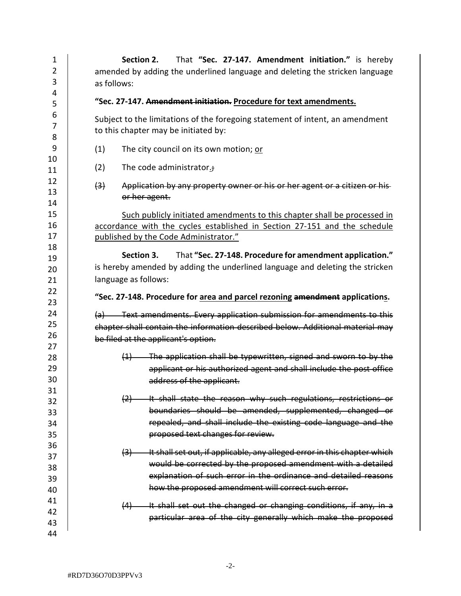| 1              | That "Sec. 27-147. Amendment initiation." is hereby<br>Section 2.                              |  |  |  |  |  |  |  |
|----------------|------------------------------------------------------------------------------------------------|--|--|--|--|--|--|--|
| $\overline{2}$ | amended by adding the underlined language and deleting the stricken language                   |  |  |  |  |  |  |  |
| 3              | as follows:                                                                                    |  |  |  |  |  |  |  |
| 4              |                                                                                                |  |  |  |  |  |  |  |
| 5              | "Sec. 27-147. Amendment initiation. Procedure for text amendments.                             |  |  |  |  |  |  |  |
| 6              | Subject to the limitations of the foregoing statement of intent, an amendment                  |  |  |  |  |  |  |  |
| $\overline{7}$ | to this chapter may be initiated by:                                                           |  |  |  |  |  |  |  |
| 8              |                                                                                                |  |  |  |  |  |  |  |
| 9              | (1)<br>The city council on its own motion; or                                                  |  |  |  |  |  |  |  |
| 10             |                                                                                                |  |  |  |  |  |  |  |
| 11             | (2)<br>The code administrator.;                                                                |  |  |  |  |  |  |  |
| 12             | Application by any property owner or his or her agent or a citizen or his-<br>$\left(3\right)$ |  |  |  |  |  |  |  |
| 13             | or her agent.                                                                                  |  |  |  |  |  |  |  |
| 14             |                                                                                                |  |  |  |  |  |  |  |
| 15             | Such publicly initiated amendments to this chapter shall be processed in                       |  |  |  |  |  |  |  |
| 16             | accordance with the cycles established in Section 27-151 and the schedule                      |  |  |  |  |  |  |  |
| 17             | published by the Code Administrator."                                                          |  |  |  |  |  |  |  |
| 18             | Section 3. That "Sec. 27-148. Procedure for amendment application."                            |  |  |  |  |  |  |  |
| 19             | is hereby amended by adding the underlined language and deleting the stricken                  |  |  |  |  |  |  |  |
| 20             |                                                                                                |  |  |  |  |  |  |  |
| 21             | language as follows:                                                                           |  |  |  |  |  |  |  |
| 22             | "Sec. 27-148. Procedure for area and parcel rezoning amendment applications.                   |  |  |  |  |  |  |  |
| 23<br>24       |                                                                                                |  |  |  |  |  |  |  |
| 25             | (a) Text amendments. Every application submission for amendments to this                       |  |  |  |  |  |  |  |
| 26             | chapter shall contain the information described below. Additional material mav                 |  |  |  |  |  |  |  |
| 27             | be filed at the applicant's option.                                                            |  |  |  |  |  |  |  |
| 28             | $(1)$ The application shall be typewritten, signed and sworn to by the                         |  |  |  |  |  |  |  |
| 29             | applicant or his authorized agent and shall include the post office                            |  |  |  |  |  |  |  |
| 30             | address of the applicant.                                                                      |  |  |  |  |  |  |  |
| 31             |                                                                                                |  |  |  |  |  |  |  |
| 32             | (2) It shall state the reason why such regulations, restrictions or                            |  |  |  |  |  |  |  |
| 33             | boundaries should be amended, supplemented, changed or                                         |  |  |  |  |  |  |  |
| 34             | repealed, and shall include the existing code language and the                                 |  |  |  |  |  |  |  |
| 35             | proposed text changes for review.                                                              |  |  |  |  |  |  |  |
| 36             |                                                                                                |  |  |  |  |  |  |  |
| 37             | (3) It shall set out, if applicable, any alleged error in this chapter which                   |  |  |  |  |  |  |  |
| 38             | would be corrected by the proposed amendment with a detailed                                   |  |  |  |  |  |  |  |
| 39             | explanation of such error in the ordinance and detailed reasons                                |  |  |  |  |  |  |  |
| 40             | how the proposed amendment will correct such error.                                            |  |  |  |  |  |  |  |
| 41             | (4) It shall set out the changed or changing conditions, if any, in a                          |  |  |  |  |  |  |  |
| 42             |                                                                                                |  |  |  |  |  |  |  |
| 43             | particular area of the city generally which make the proposed                                  |  |  |  |  |  |  |  |
| 44             |                                                                                                |  |  |  |  |  |  |  |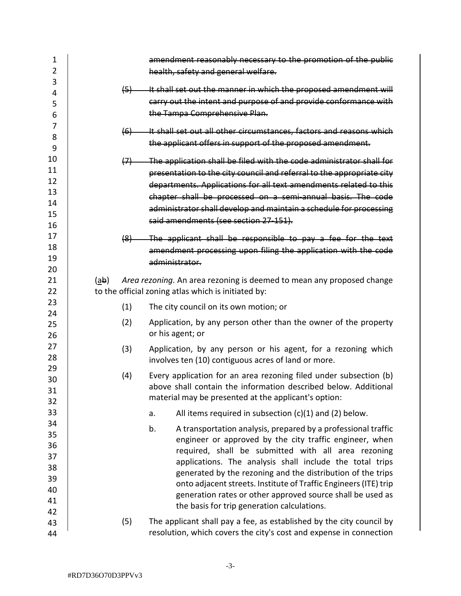| $\overline{2}$<br>health, safety and general welfare.<br>3<br>It shall set out the manner in which the proposed amendment will<br>(5)<br>4<br>carry out the intent and purpose of and provide conformance with<br>5<br>the Tampa Comprehensive Plan.<br>6<br>7<br>It shall set out all other circumstances, factors and reasons which<br>(6)<br>8<br>the applicant offers in support of the proposed amendment.<br>9<br>10<br>The application shall be filed with the code administrator shall for<br>$\leftrightarrow$<br>11<br>presentation to the city council and referral to the appropriate city<br>12<br>departments. Applications for all text amendments related to this<br>13<br>chapter shall be processed on a semi-annual basis. The code<br>14<br>administrator shall develop and maintain a schedule for processing<br>15<br>said amendments (see section 27-151).<br>16<br>17<br>The applicant shall be responsible to pay a fee for the text<br>$\left( 8 \right)$<br>18<br>amendment processing upon filing the application with the code<br>19<br>administrator.<br>20<br>21<br>(ab)<br>Area rezoning. An area rezoning is deemed to mean any proposed change<br>to the official zoning atlas which is initiated by:<br>22<br>23<br>(1)<br>The city council on its own motion; or<br>24<br>(2)<br>Application, by any person other than the owner of the property<br>25<br>or his agent; or<br>26<br>27<br>(3)<br>Application, by any person or his agent, for a rezoning which<br>28<br>involves ten (10) contiguous acres of land or more.<br>29<br>(4)<br>Every application for an area rezoning filed under subsection (b)<br>30<br>above shall contain the information described below. Additional<br>31<br>material may be presented at the applicant's option:<br>32<br>33<br>All items required in subsection $(c)(1)$ and $(2)$ below.<br>a.<br>34<br>b. |
|--------------------------------------------------------------------------------------------------------------------------------------------------------------------------------------------------------------------------------------------------------------------------------------------------------------------------------------------------------------------------------------------------------------------------------------------------------------------------------------------------------------------------------------------------------------------------------------------------------------------------------------------------------------------------------------------------------------------------------------------------------------------------------------------------------------------------------------------------------------------------------------------------------------------------------------------------------------------------------------------------------------------------------------------------------------------------------------------------------------------------------------------------------------------------------------------------------------------------------------------------------------------------------------------------------------------------------------------------------------------------------------------------------------------------------------------------------------------------------------------------------------------------------------------------------------------------------------------------------------------------------------------------------------------------------------------------------------------------------------------------------------------------------------------------------------------------------------------------------------------------------------|
|                                                                                                                                                                                                                                                                                                                                                                                                                                                                                                                                                                                                                                                                                                                                                                                                                                                                                                                                                                                                                                                                                                                                                                                                                                                                                                                                                                                                                                                                                                                                                                                                                                                                                                                                                                                                                                                                                      |
|                                                                                                                                                                                                                                                                                                                                                                                                                                                                                                                                                                                                                                                                                                                                                                                                                                                                                                                                                                                                                                                                                                                                                                                                                                                                                                                                                                                                                                                                                                                                                                                                                                                                                                                                                                                                                                                                                      |
|                                                                                                                                                                                                                                                                                                                                                                                                                                                                                                                                                                                                                                                                                                                                                                                                                                                                                                                                                                                                                                                                                                                                                                                                                                                                                                                                                                                                                                                                                                                                                                                                                                                                                                                                                                                                                                                                                      |
|                                                                                                                                                                                                                                                                                                                                                                                                                                                                                                                                                                                                                                                                                                                                                                                                                                                                                                                                                                                                                                                                                                                                                                                                                                                                                                                                                                                                                                                                                                                                                                                                                                                                                                                                                                                                                                                                                      |
|                                                                                                                                                                                                                                                                                                                                                                                                                                                                                                                                                                                                                                                                                                                                                                                                                                                                                                                                                                                                                                                                                                                                                                                                                                                                                                                                                                                                                                                                                                                                                                                                                                                                                                                                                                                                                                                                                      |
|                                                                                                                                                                                                                                                                                                                                                                                                                                                                                                                                                                                                                                                                                                                                                                                                                                                                                                                                                                                                                                                                                                                                                                                                                                                                                                                                                                                                                                                                                                                                                                                                                                                                                                                                                                                                                                                                                      |
|                                                                                                                                                                                                                                                                                                                                                                                                                                                                                                                                                                                                                                                                                                                                                                                                                                                                                                                                                                                                                                                                                                                                                                                                                                                                                                                                                                                                                                                                                                                                                                                                                                                                                                                                                                                                                                                                                      |
|                                                                                                                                                                                                                                                                                                                                                                                                                                                                                                                                                                                                                                                                                                                                                                                                                                                                                                                                                                                                                                                                                                                                                                                                                                                                                                                                                                                                                                                                                                                                                                                                                                                                                                                                                                                                                                                                                      |
|                                                                                                                                                                                                                                                                                                                                                                                                                                                                                                                                                                                                                                                                                                                                                                                                                                                                                                                                                                                                                                                                                                                                                                                                                                                                                                                                                                                                                                                                                                                                                                                                                                                                                                                                                                                                                                                                                      |
|                                                                                                                                                                                                                                                                                                                                                                                                                                                                                                                                                                                                                                                                                                                                                                                                                                                                                                                                                                                                                                                                                                                                                                                                                                                                                                                                                                                                                                                                                                                                                                                                                                                                                                                                                                                                                                                                                      |
|                                                                                                                                                                                                                                                                                                                                                                                                                                                                                                                                                                                                                                                                                                                                                                                                                                                                                                                                                                                                                                                                                                                                                                                                                                                                                                                                                                                                                                                                                                                                                                                                                                                                                                                                                                                                                                                                                      |
|                                                                                                                                                                                                                                                                                                                                                                                                                                                                                                                                                                                                                                                                                                                                                                                                                                                                                                                                                                                                                                                                                                                                                                                                                                                                                                                                                                                                                                                                                                                                                                                                                                                                                                                                                                                                                                                                                      |
|                                                                                                                                                                                                                                                                                                                                                                                                                                                                                                                                                                                                                                                                                                                                                                                                                                                                                                                                                                                                                                                                                                                                                                                                                                                                                                                                                                                                                                                                                                                                                                                                                                                                                                                                                                                                                                                                                      |
|                                                                                                                                                                                                                                                                                                                                                                                                                                                                                                                                                                                                                                                                                                                                                                                                                                                                                                                                                                                                                                                                                                                                                                                                                                                                                                                                                                                                                                                                                                                                                                                                                                                                                                                                                                                                                                                                                      |
|                                                                                                                                                                                                                                                                                                                                                                                                                                                                                                                                                                                                                                                                                                                                                                                                                                                                                                                                                                                                                                                                                                                                                                                                                                                                                                                                                                                                                                                                                                                                                                                                                                                                                                                                                                                                                                                                                      |
|                                                                                                                                                                                                                                                                                                                                                                                                                                                                                                                                                                                                                                                                                                                                                                                                                                                                                                                                                                                                                                                                                                                                                                                                                                                                                                                                                                                                                                                                                                                                                                                                                                                                                                                                                                                                                                                                                      |
|                                                                                                                                                                                                                                                                                                                                                                                                                                                                                                                                                                                                                                                                                                                                                                                                                                                                                                                                                                                                                                                                                                                                                                                                                                                                                                                                                                                                                                                                                                                                                                                                                                                                                                                                                                                                                                                                                      |
|                                                                                                                                                                                                                                                                                                                                                                                                                                                                                                                                                                                                                                                                                                                                                                                                                                                                                                                                                                                                                                                                                                                                                                                                                                                                                                                                                                                                                                                                                                                                                                                                                                                                                                                                                                                                                                                                                      |
|                                                                                                                                                                                                                                                                                                                                                                                                                                                                                                                                                                                                                                                                                                                                                                                                                                                                                                                                                                                                                                                                                                                                                                                                                                                                                                                                                                                                                                                                                                                                                                                                                                                                                                                                                                                                                                                                                      |
|                                                                                                                                                                                                                                                                                                                                                                                                                                                                                                                                                                                                                                                                                                                                                                                                                                                                                                                                                                                                                                                                                                                                                                                                                                                                                                                                                                                                                                                                                                                                                                                                                                                                                                                                                                                                                                                                                      |
|                                                                                                                                                                                                                                                                                                                                                                                                                                                                                                                                                                                                                                                                                                                                                                                                                                                                                                                                                                                                                                                                                                                                                                                                                                                                                                                                                                                                                                                                                                                                                                                                                                                                                                                                                                                                                                                                                      |
|                                                                                                                                                                                                                                                                                                                                                                                                                                                                                                                                                                                                                                                                                                                                                                                                                                                                                                                                                                                                                                                                                                                                                                                                                                                                                                                                                                                                                                                                                                                                                                                                                                                                                                                                                                                                                                                                                      |
|                                                                                                                                                                                                                                                                                                                                                                                                                                                                                                                                                                                                                                                                                                                                                                                                                                                                                                                                                                                                                                                                                                                                                                                                                                                                                                                                                                                                                                                                                                                                                                                                                                                                                                                                                                                                                                                                                      |
|                                                                                                                                                                                                                                                                                                                                                                                                                                                                                                                                                                                                                                                                                                                                                                                                                                                                                                                                                                                                                                                                                                                                                                                                                                                                                                                                                                                                                                                                                                                                                                                                                                                                                                                                                                                                                                                                                      |
|                                                                                                                                                                                                                                                                                                                                                                                                                                                                                                                                                                                                                                                                                                                                                                                                                                                                                                                                                                                                                                                                                                                                                                                                                                                                                                                                                                                                                                                                                                                                                                                                                                                                                                                                                                                                                                                                                      |
|                                                                                                                                                                                                                                                                                                                                                                                                                                                                                                                                                                                                                                                                                                                                                                                                                                                                                                                                                                                                                                                                                                                                                                                                                                                                                                                                                                                                                                                                                                                                                                                                                                                                                                                                                                                                                                                                                      |
|                                                                                                                                                                                                                                                                                                                                                                                                                                                                                                                                                                                                                                                                                                                                                                                                                                                                                                                                                                                                                                                                                                                                                                                                                                                                                                                                                                                                                                                                                                                                                                                                                                                                                                                                                                                                                                                                                      |
|                                                                                                                                                                                                                                                                                                                                                                                                                                                                                                                                                                                                                                                                                                                                                                                                                                                                                                                                                                                                                                                                                                                                                                                                                                                                                                                                                                                                                                                                                                                                                                                                                                                                                                                                                                                                                                                                                      |
|                                                                                                                                                                                                                                                                                                                                                                                                                                                                                                                                                                                                                                                                                                                                                                                                                                                                                                                                                                                                                                                                                                                                                                                                                                                                                                                                                                                                                                                                                                                                                                                                                                                                                                                                                                                                                                                                                      |
|                                                                                                                                                                                                                                                                                                                                                                                                                                                                                                                                                                                                                                                                                                                                                                                                                                                                                                                                                                                                                                                                                                                                                                                                                                                                                                                                                                                                                                                                                                                                                                                                                                                                                                                                                                                                                                                                                      |
|                                                                                                                                                                                                                                                                                                                                                                                                                                                                                                                                                                                                                                                                                                                                                                                                                                                                                                                                                                                                                                                                                                                                                                                                                                                                                                                                                                                                                                                                                                                                                                                                                                                                                                                                                                                                                                                                                      |
|                                                                                                                                                                                                                                                                                                                                                                                                                                                                                                                                                                                                                                                                                                                                                                                                                                                                                                                                                                                                                                                                                                                                                                                                                                                                                                                                                                                                                                                                                                                                                                                                                                                                                                                                                                                                                                                                                      |
| A transportation analysis, prepared by a professional traffic                                                                                                                                                                                                                                                                                                                                                                                                                                                                                                                                                                                                                                                                                                                                                                                                                                                                                                                                                                                                                                                                                                                                                                                                                                                                                                                                                                                                                                                                                                                                                                                                                                                                                                                                                                                                                        |
| 35<br>engineer or approved by the city traffic engineer, when<br>36                                                                                                                                                                                                                                                                                                                                                                                                                                                                                                                                                                                                                                                                                                                                                                                                                                                                                                                                                                                                                                                                                                                                                                                                                                                                                                                                                                                                                                                                                                                                                                                                                                                                                                                                                                                                                  |
| required, shall be submitted with all area rezoning<br>37                                                                                                                                                                                                                                                                                                                                                                                                                                                                                                                                                                                                                                                                                                                                                                                                                                                                                                                                                                                                                                                                                                                                                                                                                                                                                                                                                                                                                                                                                                                                                                                                                                                                                                                                                                                                                            |
| applications. The analysis shall include the total trips<br>38                                                                                                                                                                                                                                                                                                                                                                                                                                                                                                                                                                                                                                                                                                                                                                                                                                                                                                                                                                                                                                                                                                                                                                                                                                                                                                                                                                                                                                                                                                                                                                                                                                                                                                                                                                                                                       |
| generated by the rezoning and the distribution of the trips<br>39                                                                                                                                                                                                                                                                                                                                                                                                                                                                                                                                                                                                                                                                                                                                                                                                                                                                                                                                                                                                                                                                                                                                                                                                                                                                                                                                                                                                                                                                                                                                                                                                                                                                                                                                                                                                                    |
| onto adjacent streets. Institute of Traffic Engineers (ITE) trip<br>40                                                                                                                                                                                                                                                                                                                                                                                                                                                                                                                                                                                                                                                                                                                                                                                                                                                                                                                                                                                                                                                                                                                                                                                                                                                                                                                                                                                                                                                                                                                                                                                                                                                                                                                                                                                                               |
| generation rates or other approved source shall be used as<br>41                                                                                                                                                                                                                                                                                                                                                                                                                                                                                                                                                                                                                                                                                                                                                                                                                                                                                                                                                                                                                                                                                                                                                                                                                                                                                                                                                                                                                                                                                                                                                                                                                                                                                                                                                                                                                     |
| the basis for trip generation calculations.<br>42                                                                                                                                                                                                                                                                                                                                                                                                                                                                                                                                                                                                                                                                                                                                                                                                                                                                                                                                                                                                                                                                                                                                                                                                                                                                                                                                                                                                                                                                                                                                                                                                                                                                                                                                                                                                                                    |
| (5)<br>The applicant shall pay a fee, as established by the city council by<br>43                                                                                                                                                                                                                                                                                                                                                                                                                                                                                                                                                                                                                                                                                                                                                                                                                                                                                                                                                                                                                                                                                                                                                                                                                                                                                                                                                                                                                                                                                                                                                                                                                                                                                                                                                                                                    |
| resolution, which covers the city's cost and expense in connection<br>44                                                                                                                                                                                                                                                                                                                                                                                                                                                                                                                                                                                                                                                                                                                                                                                                                                                                                                                                                                                                                                                                                                                                                                                                                                                                                                                                                                                                                                                                                                                                                                                                                                                                                                                                                                                                             |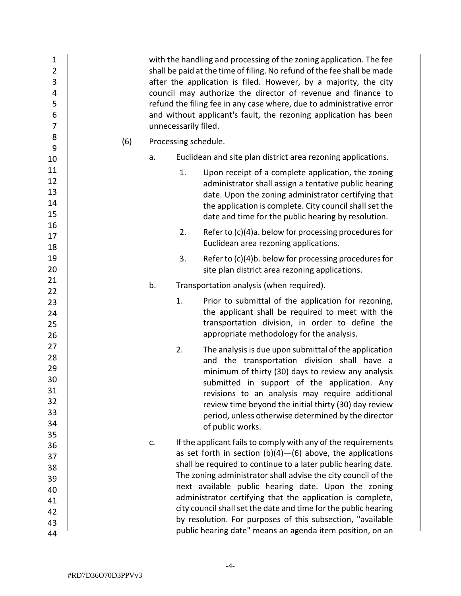| $\mathbf 1$<br>$\overline{2}$<br>3<br>4<br>5<br>$\boldsymbol{6}$<br>$\overline{7}$ |     |    | unnecessarily filed. | with the handling and processing of the zoning application. The fee<br>shall be paid at the time of filing. No refund of the fee shall be made<br>after the application is filed. However, by a majority, the city<br>council may authorize the director of revenue and finance to<br>refund the filing fee in any case where, due to administrative error<br>and without applicant's fault, the rezoning application has been |
|------------------------------------------------------------------------------------|-----|----|----------------------|--------------------------------------------------------------------------------------------------------------------------------------------------------------------------------------------------------------------------------------------------------------------------------------------------------------------------------------------------------------------------------------------------------------------------------|
| 8<br>9                                                                             | (6) |    | Processing schedule. |                                                                                                                                                                                                                                                                                                                                                                                                                                |
| 10                                                                                 |     | a. |                      | Euclidean and site plan district area rezoning applications.                                                                                                                                                                                                                                                                                                                                                                   |
| 11                                                                                 |     |    | 1.                   | Upon receipt of a complete application, the zoning                                                                                                                                                                                                                                                                                                                                                                             |
| 12                                                                                 |     |    |                      | administrator shall assign a tentative public hearing                                                                                                                                                                                                                                                                                                                                                                          |
| 13                                                                                 |     |    |                      | date. Upon the zoning administrator certifying that                                                                                                                                                                                                                                                                                                                                                                            |
| 14                                                                                 |     |    |                      | the application is complete. City council shall set the                                                                                                                                                                                                                                                                                                                                                                        |
| 15                                                                                 |     |    |                      | date and time for the public hearing by resolution.                                                                                                                                                                                                                                                                                                                                                                            |
| 16                                                                                 |     |    | 2.                   | Refer to (c)(4)a. below for processing procedures for                                                                                                                                                                                                                                                                                                                                                                          |
| 17                                                                                 |     |    |                      | Euclidean area rezoning applications.                                                                                                                                                                                                                                                                                                                                                                                          |
| 18                                                                                 |     |    |                      |                                                                                                                                                                                                                                                                                                                                                                                                                                |
| 19                                                                                 |     |    | 3.                   | Refer to (c)(4)b. below for processing procedures for                                                                                                                                                                                                                                                                                                                                                                          |
| 20                                                                                 |     |    |                      | site plan district area rezoning applications.                                                                                                                                                                                                                                                                                                                                                                                 |
| 21<br>22                                                                           |     | b. |                      | Transportation analysis (when required).                                                                                                                                                                                                                                                                                                                                                                                       |
| 23                                                                                 |     |    | 1.                   | Prior to submittal of the application for rezoning,                                                                                                                                                                                                                                                                                                                                                                            |
| 24                                                                                 |     |    |                      | the applicant shall be required to meet with the                                                                                                                                                                                                                                                                                                                                                                               |
| 25                                                                                 |     |    |                      | transportation division, in order to define the                                                                                                                                                                                                                                                                                                                                                                                |
| 26                                                                                 |     |    |                      | appropriate methodology for the analysis.                                                                                                                                                                                                                                                                                                                                                                                      |
| 27                                                                                 |     |    | 2.                   | The analysis is due upon submittal of the application                                                                                                                                                                                                                                                                                                                                                                          |
| 28                                                                                 |     |    |                      | and the transportation division shall have a                                                                                                                                                                                                                                                                                                                                                                                   |
| 29                                                                                 |     |    |                      | minimum of thirty (30) days to review any analysis                                                                                                                                                                                                                                                                                                                                                                             |
| 30                                                                                 |     |    |                      | submitted in support of the application. Any                                                                                                                                                                                                                                                                                                                                                                                   |
| 31                                                                                 |     |    |                      | revisions to an analysis may require additional                                                                                                                                                                                                                                                                                                                                                                                |
| 32                                                                                 |     |    |                      | review time beyond the initial thirty (30) day review                                                                                                                                                                                                                                                                                                                                                                          |
| 33                                                                                 |     |    |                      | period, unless otherwise determined by the director                                                                                                                                                                                                                                                                                                                                                                            |
| 34                                                                                 |     |    |                      | of public works.                                                                                                                                                                                                                                                                                                                                                                                                               |
| 35                                                                                 |     | c. |                      | If the applicant fails to comply with any of the requirements                                                                                                                                                                                                                                                                                                                                                                  |
| 36                                                                                 |     |    |                      | as set forth in section $(b)(4)$ -(6) above, the applications                                                                                                                                                                                                                                                                                                                                                                  |
| 37<br>38                                                                           |     |    |                      | shall be required to continue to a later public hearing date.                                                                                                                                                                                                                                                                                                                                                                  |
| 39                                                                                 |     |    |                      | The zoning administrator shall advise the city council of the                                                                                                                                                                                                                                                                                                                                                                  |
| 40                                                                                 |     |    |                      | next available public hearing date. Upon the zoning                                                                                                                                                                                                                                                                                                                                                                            |
| 41                                                                                 |     |    |                      | administrator certifying that the application is complete,                                                                                                                                                                                                                                                                                                                                                                     |
| 42                                                                                 |     |    |                      | city council shall set the date and time for the public hearing                                                                                                                                                                                                                                                                                                                                                                |
| 43                                                                                 |     |    |                      | by resolution. For purposes of this subsection, "available                                                                                                                                                                                                                                                                                                                                                                     |
| 44                                                                                 |     |    |                      | public hearing date" means an agenda item position, on an                                                                                                                                                                                                                                                                                                                                                                      |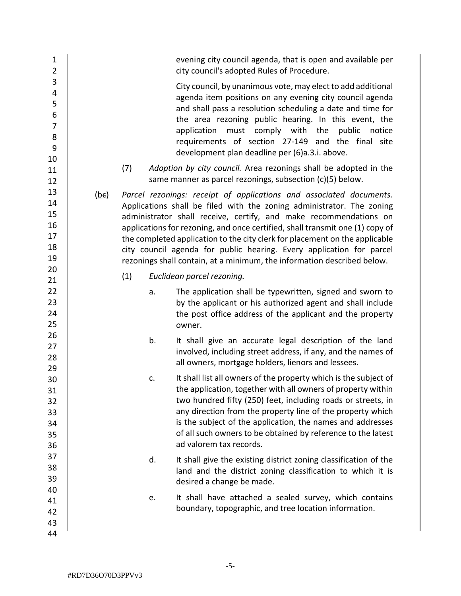| $\mathbf 1$<br>$\overline{2}$                      |      |     | evening city council agenda, that is open and available per<br>city council's adopted Rules of Procedure.                                                                                                                                                                                                                                                                                                                                                                                                                            |
|----------------------------------------------------|------|-----|--------------------------------------------------------------------------------------------------------------------------------------------------------------------------------------------------------------------------------------------------------------------------------------------------------------------------------------------------------------------------------------------------------------------------------------------------------------------------------------------------------------------------------------|
| 3<br>4<br>5<br>6<br>$\overline{7}$<br>8<br>9<br>10 |      |     | City council, by unanimous vote, may elect to add additional<br>agenda item positions on any evening city council agenda<br>and shall pass a resolution scheduling a date and time for<br>the area rezoning public hearing. In this event, the<br>application must comply with<br>the<br>public<br>notice<br>requirements of section 27-149 and the final site<br>development plan deadline per (6)a.3.i. above.                                                                                                                     |
| 11<br>12                                           |      | (7) | Adoption by city council. Area rezonings shall be adopted in the<br>same manner as parcel rezonings, subsection (c)(5) below.                                                                                                                                                                                                                                                                                                                                                                                                        |
| 13<br>14<br>15<br>16<br>17<br>18<br>19<br>20       | (be) |     | Parcel rezonings: receipt of applications and associated documents.<br>Applications shall be filed with the zoning administrator. The zoning<br>administrator shall receive, certify, and make recommendations on<br>applications for rezoning, and once certified, shall transmit one (1) copy of<br>the completed application to the city clerk for placement on the applicable<br>city council agenda for public hearing. Every application for parcel<br>rezonings shall contain, at a minimum, the information described below. |
| 21                                                 |      | (1) | Euclidean parcel rezoning.                                                                                                                                                                                                                                                                                                                                                                                                                                                                                                           |
| 22<br>23<br>24<br>25                               |      | a.  | The application shall be typewritten, signed and sworn to<br>by the applicant or his authorized agent and shall include<br>the post office address of the applicant and the property<br>owner.                                                                                                                                                                                                                                                                                                                                       |
| 26<br>27<br>28<br>29                               |      | b.  | It shall give an accurate legal description of the land<br>involved, including street address, if any, and the names of<br>all owners, mortgage holders, lienors and lessees.                                                                                                                                                                                                                                                                                                                                                        |
| 30<br>31<br>32<br>33<br>34<br>35<br>36             |      | c.  | It shall list all owners of the property which is the subject of<br>the application, together with all owners of property within<br>two hundred fifty (250) feet, including roads or streets, in<br>any direction from the property line of the property which<br>is the subject of the application, the names and addresses<br>of all such owners to be obtained by reference to the latest<br>ad valorem tax records.                                                                                                              |
| 37<br>38<br>39                                     |      | d.  | It shall give the existing district zoning classification of the<br>land and the district zoning classification to which it is<br>desired a change be made.                                                                                                                                                                                                                                                                                                                                                                          |
| 40<br>41<br>42<br>43<br>44                         |      | е.  | It shall have attached a sealed survey, which contains<br>boundary, topographic, and tree location information.                                                                                                                                                                                                                                                                                                                                                                                                                      |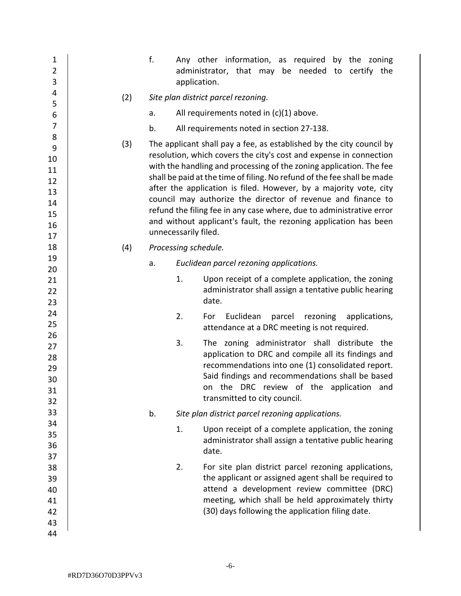|     |                                     | Any other information, as required by the zoning<br>administrator, that may be needed to certify the<br>application.                                                                                                                                                                                                                                                                                                                                                                                                                                                          |  |
|-----|-------------------------------------|-------------------------------------------------------------------------------------------------------------------------------------------------------------------------------------------------------------------------------------------------------------------------------------------------------------------------------------------------------------------------------------------------------------------------------------------------------------------------------------------------------------------------------------------------------------------------------|--|
| (2) | Site plan district parcel rezoning. |                                                                                                                                                                                                                                                                                                                                                                                                                                                                                                                                                                               |  |
|     |                                     | All requirements noted in $(c)(1)$ above.                                                                                                                                                                                                                                                                                                                                                                                                                                                                                                                                     |  |
|     |                                     | All requirements noted in section 27-138.                                                                                                                                                                                                                                                                                                                                                                                                                                                                                                                                     |  |
| (3) |                                     | The applicant shall pay a fee, as established by the city council by<br>resolution, which covers the city's cost and expense in connection<br>with the handling and processing of the zoning application. The fee<br>shall be paid at the time of filing. No refund of the fee shall be made<br>after the application is filed. However, by a majority vote, city<br>council may authorize the director of revenue and finance to<br>refund the filing fee in any case where, due to administrative error<br>and without applicant's fault, the rezoning application has been |  |
| (4) |                                     |                                                                                                                                                                                                                                                                                                                                                                                                                                                                                                                                                                               |  |
|     |                                     | Euclidean parcel rezoning applications.                                                                                                                                                                                                                                                                                                                                                                                                                                                                                                                                       |  |
|     | 1.                                  | Upon receipt of a complete application, the zoning<br>administrator shall assign a tentative public hearing<br>date.                                                                                                                                                                                                                                                                                                                                                                                                                                                          |  |
|     | 2.                                  | Euclidean<br>parcel<br>rezoning<br>For<br>applications,<br>attendance at a DRC meeting is not required.                                                                                                                                                                                                                                                                                                                                                                                                                                                                       |  |
|     | 3.                                  | The zoning administrator shall distribute the<br>application to DRC and compile all its findings and<br>recommendations into one (1) consolidated report.<br>Said findings and recommendations shall be based<br>the DRC review of the application<br>and<br>on<br>transmitted to city council.                                                                                                                                                                                                                                                                               |  |
|     |                                     | Site plan district parcel rezoning applications.                                                                                                                                                                                                                                                                                                                                                                                                                                                                                                                              |  |
|     | 1.                                  | Upon receipt of a complete application, the zoning                                                                                                                                                                                                                                                                                                                                                                                                                                                                                                                            |  |
|     |                                     | administrator shall assign a tentative public hearing<br>date.                                                                                                                                                                                                                                                                                                                                                                                                                                                                                                                |  |
|     | 2.                                  | For site plan district parcel rezoning applications,<br>the applicant or assigned agent shall be required to<br>attend a development review committee (DRC)<br>meeting, which shall be held approximately thirty<br>(30) days following the application filing date.                                                                                                                                                                                                                                                                                                          |  |
|     |                                     | f.<br>a.<br>b.<br>unnecessarily filed.<br>Processing schedule.<br>a.<br>b.                                                                                                                                                                                                                                                                                                                                                                                                                                                                                                    |  |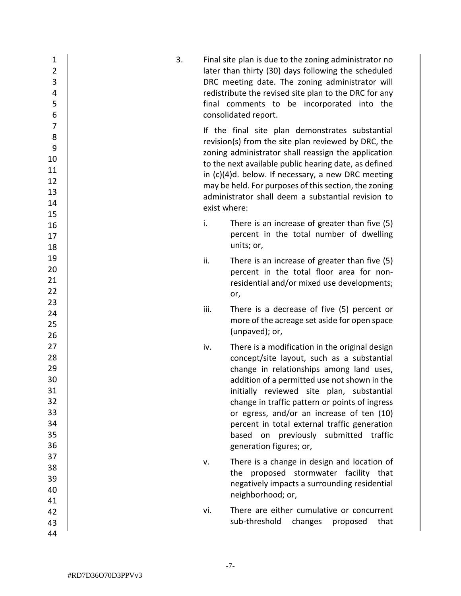| $\mathbf{1}$<br>$\overline{2}$<br>3<br>4<br>5<br>6           | 3. |              | Final site plan is due to the zoning administrator no<br>later than thirty (30) days following the scheduled<br>DRC meeting date. The zoning administrator will<br>redistribute the revised site plan to the DRC for any<br>final comments to be incorporated into the<br>consolidated report.                                                                                                                                                           |
|--------------------------------------------------------------|----|--------------|----------------------------------------------------------------------------------------------------------------------------------------------------------------------------------------------------------------------------------------------------------------------------------------------------------------------------------------------------------------------------------------------------------------------------------------------------------|
| $\overline{7}$<br>8<br>9<br>10<br>11<br>12<br>13<br>14<br>15 |    | exist where: | If the final site plan demonstrates substantial<br>revision(s) from the site plan reviewed by DRC, the<br>zoning administrator shall reassign the application<br>to the next available public hearing date, as defined<br>in (c)(4)d. below. If necessary, a new DRC meeting<br>may be held. For purposes of this section, the zoning<br>administrator shall deem a substantial revision to                                                              |
| 16<br>17<br>18                                               |    | i.           | There is an increase of greater than five (5)<br>percent in the total number of dwelling<br>units; or,                                                                                                                                                                                                                                                                                                                                                   |
| 19<br>20<br>21<br>22                                         |    | ii.          | There is an increase of greater than five (5)<br>percent in the total floor area for non-<br>residential and/or mixed use developments;<br>or,                                                                                                                                                                                                                                                                                                           |
| 23<br>24<br>25<br>26                                         |    | iii.         | There is a decrease of five (5) percent or<br>more of the acreage set aside for open space<br>(unpaved); or,                                                                                                                                                                                                                                                                                                                                             |
| 27<br>28<br>29<br>30<br>31<br>32<br>33<br>34<br>35<br>36     |    | iv.          | There is a modification in the original design<br>concept/site layout, such as a substantial<br>change in relationships among land uses,<br>addition of a permitted use not shown in the<br>initially reviewed site plan, substantial<br>change in traffic pattern or points of ingress<br>or egress, and/or an increase of ten (10)<br>percent in total external traffic generation<br>based on previously submitted traffic<br>generation figures; or, |
| 37<br>38<br>39<br>40<br>41                                   |    | v.           | There is a change in design and location of<br>the proposed stormwater facility that<br>negatively impacts a surrounding residential<br>neighborhood; or,                                                                                                                                                                                                                                                                                                |
| 42<br>43<br>44                                               |    | vi.          | There are either cumulative or concurrent<br>sub-threshold changes proposed<br>that                                                                                                                                                                                                                                                                                                                                                                      |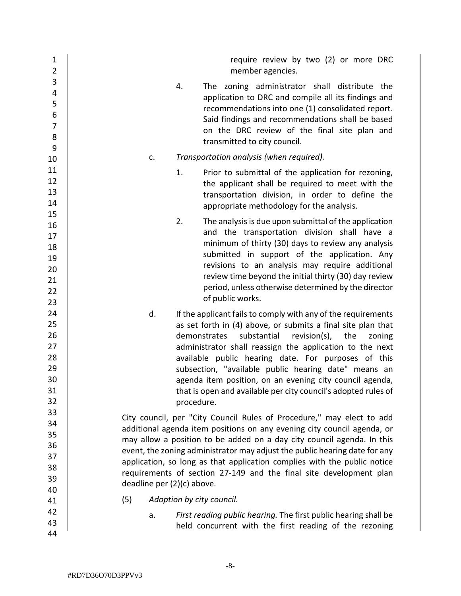| 1<br>$\overline{2}$ | require review by two (2) or more DRC<br>member agencies.                                           |
|---------------------|-----------------------------------------------------------------------------------------------------|
| 3<br>4              | The zoning administrator shall distribute the<br>4.                                                 |
| 5                   | application to DRC and compile all its findings and                                                 |
| 6                   | recommendations into one (1) consolidated report.                                                   |
| $\overline{7}$      | Said findings and recommendations shall be based                                                    |
| 8                   | on the DRC review of the final site plan and                                                        |
| 9                   | transmitted to city council.                                                                        |
| 10                  | Transportation analysis (when required).<br>c.                                                      |
| 11                  | 1.                                                                                                  |
| 12                  | Prior to submittal of the application for rezoning,                                                 |
| 13                  | the applicant shall be required to meet with the<br>transportation division, in order to define the |
| 14                  | appropriate methodology for the analysis.                                                           |
| 15                  |                                                                                                     |
| 16                  | 2.<br>The analysis is due upon submittal of the application                                         |
| 17                  | and the transportation division shall have a                                                        |
| 18                  | minimum of thirty (30) days to review any analysis                                                  |
| 19                  | submitted in support of the application. Any                                                        |
| 20                  | revisions to an analysis may require additional                                                     |
| 21                  | review time beyond the initial thirty (30) day review                                               |
| 22                  | period, unless otherwise determined by the director                                                 |
| 23                  | of public works.                                                                                    |
| 24                  | d.<br>If the applicant fails to comply with any of the requirements                                 |
| 25                  | as set forth in (4) above, or submits a final site plan that                                        |
| 26                  | substantial<br>demonstrates<br>revision(s),<br>the<br>zoning                                        |
| 27                  | administrator shall reassign the application to the next                                            |
| 28                  | available public hearing date. For purposes of this                                                 |
| 29                  | subsection, "available public hearing date" means an                                                |
| 30                  | agenda item position, on an evening city council agenda,                                            |
| 31                  | that is open and available per city council's adopted rules of                                      |
| 32                  | procedure.                                                                                          |
| 33                  | City council, per "City Council Rules of Procedure," may elect to add                               |
| 34                  | additional agenda item positions on any evening city council agenda, or                             |
| 35                  | may allow a position to be added on a day city council agenda. In this                              |
| 36                  | event, the zoning administrator may adjust the public hearing date for any                          |
| 37                  | application, so long as that application complies with the public notice                            |
| 38                  | requirements of section 27-149 and the final site development plan                                  |
| 39                  | deadline per (2)(c) above.                                                                          |
| 40                  |                                                                                                     |
| 41                  | (5)<br>Adoption by city council.                                                                    |
| 42                  | First reading public hearing. The first public hearing shall be<br>a.                               |
| 43                  | held concurrent with the first reading of the rezoning                                              |
| 44                  |                                                                                                     |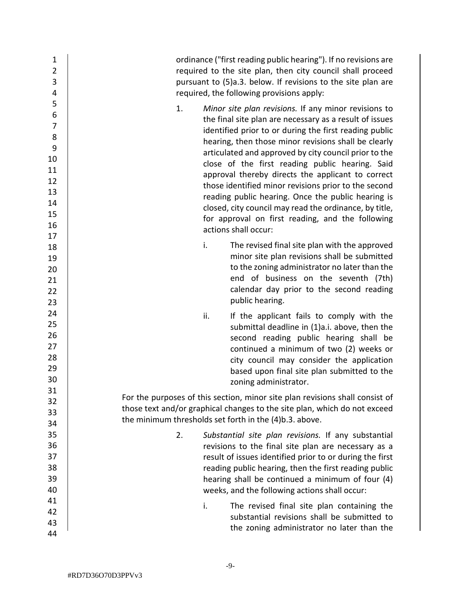| $\mathbf{1}$<br>$\overline{2}$<br>3<br>4                                           | ordinance ("first reading public hearing"). If no revisions are<br>required to the site plan, then city council shall proceed<br>pursuant to (5)a.3. below. If revisions to the site plan are<br>required, the following provisions apply:                                                                                                                                                                                                                                                                                                                                                                                                                   |
|------------------------------------------------------------------------------------|--------------------------------------------------------------------------------------------------------------------------------------------------------------------------------------------------------------------------------------------------------------------------------------------------------------------------------------------------------------------------------------------------------------------------------------------------------------------------------------------------------------------------------------------------------------------------------------------------------------------------------------------------------------|
| 5<br>6<br>$\overline{7}$<br>8<br>9<br>10<br>11<br>12<br>13<br>14<br>15<br>16<br>17 | 1.<br>Minor site plan revisions. If any minor revisions to<br>the final site plan are necessary as a result of issues<br>identified prior to or during the first reading public<br>hearing, then those minor revisions shall be clearly<br>articulated and approved by city council prior to the<br>close of the first reading public hearing. Said<br>approval thereby directs the applicant to correct<br>those identified minor revisions prior to the second<br>reading public hearing. Once the public hearing is<br>closed, city council may read the ordinance, by title,<br>for approval on first reading, and the following<br>actions shall occur: |
| 18<br>19<br>20<br>21<br>22<br>23                                                   | i.<br>The revised final site plan with the approved<br>minor site plan revisions shall be submitted<br>to the zoning administrator no later than the<br>end of business on the seventh (7th)<br>calendar day prior to the second reading<br>public hearing.                                                                                                                                                                                                                                                                                                                                                                                                  |
| 24<br>25<br>26<br>27<br>28<br>29<br>30                                             | ii.<br>If the applicant fails to comply with the<br>submittal deadline in (1)a.i. above, then the<br>second reading public hearing shall be<br>continued a minimum of two (2) weeks or<br>city council may consider the application<br>based upon final site plan submitted to the<br>zoning administrator.                                                                                                                                                                                                                                                                                                                                                  |
| 31<br>32<br>33<br>34                                                               | For the purposes of this section, minor site plan revisions shall consist of<br>those text and/or graphical changes to the site plan, which do not exceed<br>the minimum thresholds set forth in the (4)b.3. above.                                                                                                                                                                                                                                                                                                                                                                                                                                          |
| 35<br>36<br>37<br>38<br>39<br>40                                                   | Substantial site plan revisions. If any substantial<br>2.<br>revisions to the final site plan are necessary as a<br>result of issues identified prior to or during the first<br>reading public hearing, then the first reading public<br>hearing shall be continued a minimum of four (4)<br>weeks, and the following actions shall occur:                                                                                                                                                                                                                                                                                                                   |
| 41<br>42<br>43<br>44                                                               | The revised final site plan containing the<br>i.<br>substantial revisions shall be submitted to<br>the zoning administrator no later than the                                                                                                                                                                                                                                                                                                                                                                                                                                                                                                                |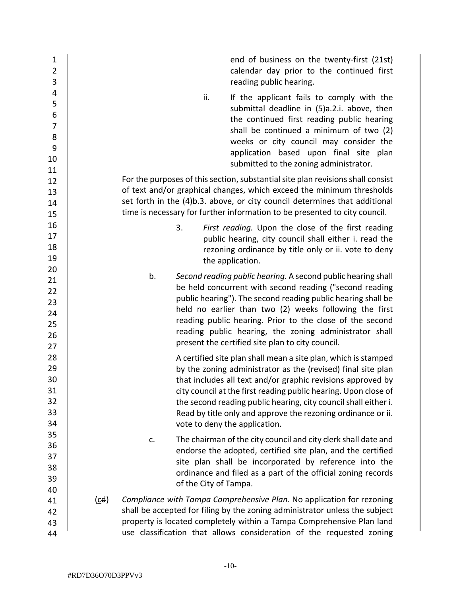| $\mathbf{1}$<br>$\overline{2}$<br>3                                    |      |                             | end of business on the twenty-first (21st)<br>calendar day prior to the continued first<br>reading public hearing.                                                                                                                                                                                                                                                                                                                   |
|------------------------------------------------------------------------|------|-----------------------------|--------------------------------------------------------------------------------------------------------------------------------------------------------------------------------------------------------------------------------------------------------------------------------------------------------------------------------------------------------------------------------------------------------------------------------------|
| 4<br>5<br>$\overline{6}$<br>$\overline{7}$<br>$\bf 8$<br>9<br>10<br>11 |      | ii.                         | If the applicant fails to comply with the<br>submittal deadline in (5)a.2.i. above, then<br>the continued first reading public hearing<br>shall be continued a minimum of two (2)<br>weeks or city council may consider the<br>application based upon final site plan<br>submitted to the zoning administrator.                                                                                                                      |
| 12<br>13<br>14<br>15                                                   |      |                             | For the purposes of this section, substantial site plan revisions shall consist<br>of text and/or graphical changes, which exceed the minimum thresholds<br>set forth in the (4)b.3. above, or city council determines that additional<br>time is necessary for further information to be presented to city council.                                                                                                                 |
| 16<br>17<br>18<br>19                                                   |      | 3.                          | First reading. Upon the close of the first reading<br>public hearing, city council shall either i. read the<br>rezoning ordinance by title only or ii. vote to deny<br>the application.                                                                                                                                                                                                                                              |
| 20<br>21<br>22<br>23<br>24<br>25<br>26<br>27                           |      | b.                          | Second reading public hearing. A second public hearing shall<br>be held concurrent with second reading ("second reading<br>public hearing"). The second reading public hearing shall be<br>held no earlier than two (2) weeks following the first<br>reading public hearing. Prior to the close of the second<br>reading public hearing, the zoning administrator shall<br>present the certified site plan to city council.          |
| 28<br>29<br>30<br>31<br>32<br>33<br>34                                 |      |                             | A certified site plan shall mean a site plan, which is stamped<br>by the zoning administrator as the (revised) final site plan<br>that includes all text and/or graphic revisions approved by<br>city council at the first reading public hearing. Upon close of<br>the second reading public hearing, city council shall either i.<br>Read by title only and approve the rezoning ordinance or ii.<br>vote to deny the application. |
| 35<br>36<br>37<br>38<br>39<br>40                                       |      | c.<br>of the City of Tampa. | The chairman of the city council and city clerk shall date and<br>endorse the adopted, certified site plan, and the certified<br>site plan shall be incorporated by reference into the<br>ordinance and filed as a part of the official zoning records                                                                                                                                                                               |
| 41<br>42<br>43<br>44                                                   | (cd) |                             | Compliance with Tampa Comprehensive Plan. No application for rezoning<br>shall be accepted for filing by the zoning administrator unless the subject<br>property is located completely within a Tampa Comprehensive Plan land<br>use classification that allows consideration of the requested zoning                                                                                                                                |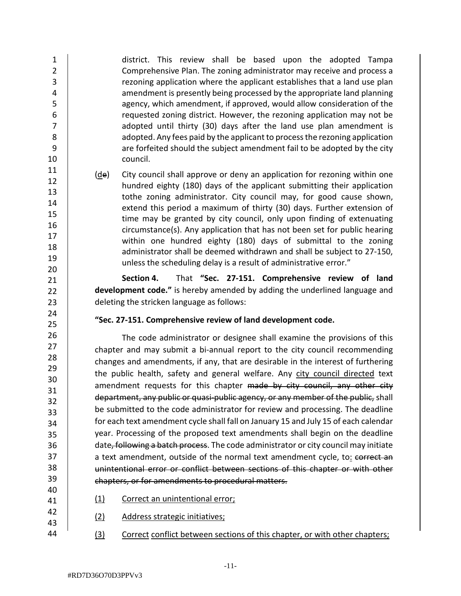district. This review shall be based upon the adopted Tampa Comprehensive Plan. The zoning administrator may receive and process a rezoning application where the applicant establishes that a land use plan amendment is presently being processed by the appropriate land planning agency, which amendment, if approved, would allow consideration of the requested zoning district. However, the rezoning application may not be adopted until thirty (30) days after the land use plan amendment is adopted. Any fees paid by the applicant to process the rezoning application are forfeited should the subject amendment fail to be adopted by the city council.

(de) City council shall approve or deny an application for rezoning within one hundred eighty (180) days of the applicant submitting their application tothe zoning administrator. City council may, for good cause shown, extend this period a maximum of thirty (30) days. Further extension of time may be granted by city council, only upon finding of extenuating circumstance(s). Any application that has not been set for public hearing within one hundred eighty (180) days of submittal to the zoning administrator shall be deemed withdrawn and shall be subject to 27-150, unless the scheduling delay is a result of administrative error."

**Section 4.** That **"Sec. 27-151. Comprehensive review of land development code."** is hereby amended by adding the underlined language and deleting the stricken language as follows:

**"Sec. 27-151. Comprehensive review of land development code.**

The code administrator or designee shall examine the provisions of this chapter and may submit a bi-annual report to the city council recommending changes and amendments, if any, that are desirable in the interest of furthering the public health, safety and general welfare. Any city council directed text amendment requests for this chapter made by city council, any other city department, any public or quasi-public agency, or any member of the public, shall be submitted to the code administrator for review and processing. The deadline for each text amendment cycle shall fall on January 15 and July 15 of each calendar year. Processing of the proposed text amendments shall begin on the deadline date, following a batch process. The code administrator or city council may initiate a text amendment, outside of the normal text amendment cycle, to: correct an unintentional error or conflict between sections of this chapter or with other chapters, or for amendments to procedural matters.

- (1) Correct an unintentional error;
- (2) Address strategic initiatives;
- 44 (3) Correct conflict between sections of this chapter, or with other chapters;